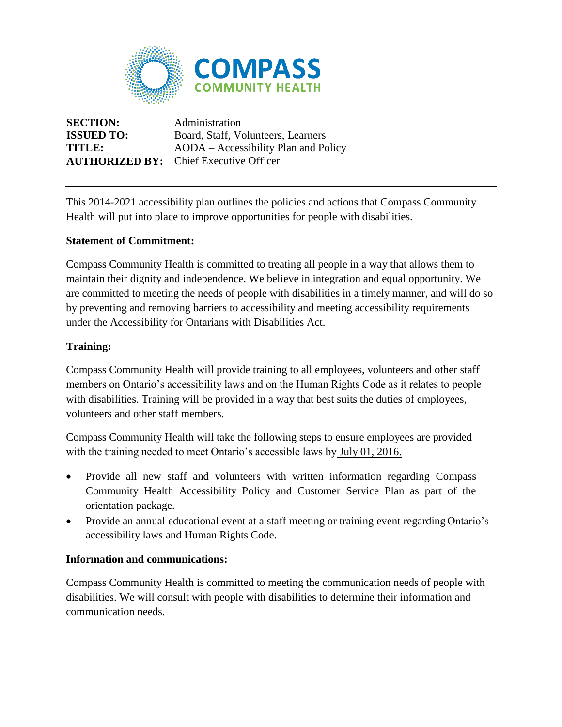

**SECTION:** Administration **AUTHORIZED BY:** Chief Executive Officer

**ISSUED TO:** Board, Staff, Volunteers, Learners **TITLE:** AODA – Accessibility Plan and Policy

This 2014-2021 accessibility plan outlines the policies and actions that Compass Community Health will put into place to improve opportunities for people with disabilities.

# **Statement of Commitment:**

Compass Community Health is committed to treating all people in a way that allows them to maintain their dignity and independence. We believe in integration and equal opportunity. We are committed to meeting the needs of people with disabilities in a timely manner, and will do so by preventing and removing barriers to accessibility and meeting accessibility requirements under the Accessibility for Ontarians with Disabilities Act.

# **Training:**

Compass Community Health will provide training to all employees, volunteers and other staff members on Ontario's accessibility laws and on the Human Rights Code as it relates to people with disabilities. Training will be provided in a way that best suits the duties of employees, volunteers and other staff members.

Compass Community Health will take the following steps to ensure employees are provided with the training needed to meet Ontario's accessible laws by July 01, 2016.

- Provide all new staff and volunteers with written information regarding Compass Community Health Accessibility Policy and Customer Service Plan as part of the orientation package.
- Provide an annual educational event at a staff meeting or training event regarding Ontario's accessibility laws and Human Rights Code.

### **Information and communications:**

Compass Community Health is committed to meeting the communication needs of people with disabilities. We will consult with people with disabilities to determine their information and communication needs.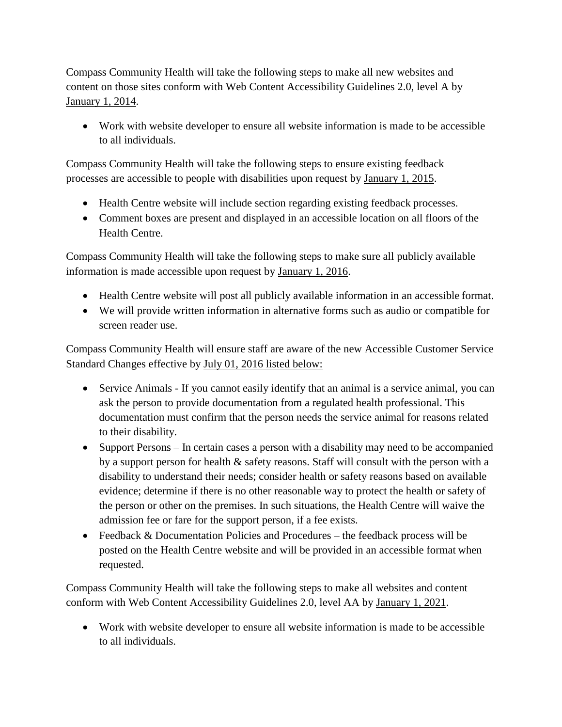Compass Community Health will take the following steps to make all new websites and content on those sites conform with Web Content Accessibility Guidelines 2.0, level A by January 1, 2014.

 Work with website developer to ensure all website information is made to be accessible to all individuals.

Compass Community Health will take the following steps to ensure existing feedback processes are accessible to people with disabilities upon request by January 1, 2015.

- Health Centre website will include section regarding existing feedback processes.
- Comment boxes are present and displayed in an accessible location on all floors of the Health Centre.

Compass Community Health will take the following steps to make sure all publicly available information is made accessible upon request by January 1, 2016.

- Health Centre website will post all publicly available information in an accessible format.
- We will provide written information in alternative forms such as audio or compatible for screen reader use.

Compass Community Health will ensure staff are aware of the new Accessible Customer Service Standard Changes effective by July 01, 2016 listed below:

- Service Animals If you cannot easily identify that an animal is a service animal, you can ask the person to provide documentation from a regulated health professional. This documentation must confirm that the person needs the service animal for reasons related to their disability.
- Support Persons In certain cases a person with a disability may need to be accompanied by a support person for health & safety reasons. Staff will consult with the person with a disability to understand their needs; consider health or safety reasons based on available evidence; determine if there is no other reasonable way to protect the health or safety of the person or other on the premises. In such situations, the Health Centre will waive the admission fee or fare for the support person, if a fee exists.
- Feedback & Documentation Policies and Procedures the feedback process will be posted on the Health Centre website and will be provided in an accessible format when requested.

Compass Community Health will take the following steps to make all websites and content conform with Web Content Accessibility Guidelines 2.0, level AA by January 1, 2021.

 Work with website developer to ensure all website information is made to be accessible to all individuals.